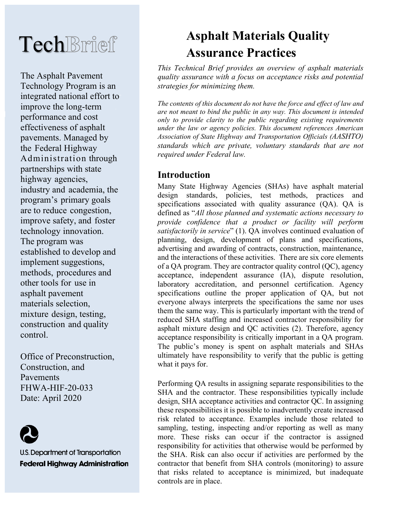# **Tech**Brief

The Asphalt Pavement Technology Program is an integrated national effort to improve the long-term performance and cost effectiveness of asphalt pavements. Managed by the Federal Highway Administration through partnerships with state highway agencies, industry and academia, the program's primary goals are to reduce congestion, improve safety, and foster technology innovation. The program was established to develop and implement suggestions, methods, procedures and other tools for use in asphalt pavement materials selection, mixture design, testing, construction and quality control.

Office of Preconstruction, Construction, and Pavements FHWA-HIF-20-033 Date: April 2020



U.S. Department of Transportation **Federal Highway Administration** 

# **Asphalt Materials Quality Assurance Practices**

*This Technical Brief provides an overview of asphalt materials quality assurance with a focus on acceptance risks and potential strategies for minimizing them.* 

*The contents of this document do not have the force and effect of law and are not meant to bind the public in any way. This document is intended only to provide clarity to the public regarding existing requirements under the law or agency policies. This document references American Association of State Highway and Transportation Officials (AASHTO) standards which are private, voluntary standards that are not required under Federal law.*

# **Introduction**

Many State Highway Agencies (SHAs) have asphalt material design standards, policies, test methods, practices and specifications associated with quality assurance (QA). QA is defined as "*All those planned and systematic actions necessary to provide confidence that a product or facility will perform satisfactorily in service*" [\(1\)](#page-14-0). QA involves continued evaluation of planning, design, development of plans and specifications, advertising and awarding of contracts, construction, maintenance, and the interactions of these activities. There are six core elements of a QA program. They are contractor quality control (QC), agency acceptance, independent assurance (IA), dispute resolution, laboratory accreditation, and personnel certification. Agency specifications outline the proper application of QA, but not everyone always interprets the specifications the same nor uses them the same way. This is particularly important with the trend of reduced SHA staffing and increased contractor responsibility for asphalt mixture design and QC activities [\(2\)](#page-14-1). Therefore, agency acceptance responsibility is critically important in a QA program. The public's money is spent on asphalt materials and SHAs ultimately have responsibility to verify that the public is getting what it pays for.

Performing QA results in assigning separate responsibilities to the SHA and the contractor. These responsibilities typically include design, SHA acceptance activities and contractor QC. In assigning these responsibilities it is possible to inadvertently create increased risk related to acceptance. Examples include those related to sampling, testing, inspecting and/or reporting as well as many more. These risks can occur if the contractor is assigned responsibility for activities that otherwise would be performed by the SHA. Risk can also occur if activities are performed by the contractor that benefit from SHA controls (monitoring) to assure that risks related to acceptance is minimized, but inadequate controls are in place.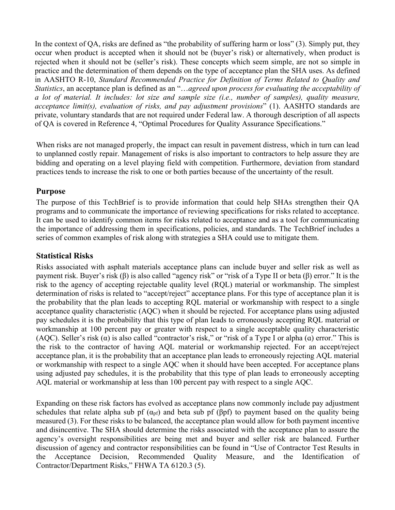In the context of QA, risks are defined as "the probability of suffering harm or loss" [\(3\)](#page-14-2). Simply put, they occur when product is accepted when it should not be (buyer's risk) or alternatively, when product is rejected when it should not be (seller's risk). These concepts which seem simple, are not so simple in practice and the determination of them depends on the type of acceptance plan the SHA uses. As defined in AASHTO R-10, *Standard Recommended Practice for Definition of Terms Related to Quality and Statistics*, an acceptance plan is defined as an "…*agreed upon process for evaluating the acceptability of a lot of material. It includes: lot size and sample size (i.e., number of samples), quality measure, acceptance limit(s), evaluation of risks, and pay adjustment provisions*" [\(1\)](#page-14-0). AASHTO standards are private, voluntary standards that are not required under Federal law. A thorough description of all aspects of QA is covered in Reference [4,](#page-14-3) "Optimal Procedures for Quality Assurance Specifications."

When risks are not managed properly, the impact can result in pavement distress, which in turn can lead to unplanned costly repair. Management of risks is also important to contractors to help assure they are bidding and operating on a level playing field with competition. Furthermore, deviation from standard practices tends to increase the risk to one or both parties because of the uncertainty of the result.

#### **Purpose**

The purpose of this TechBrief is to provide information that could help SHAs strengthen their QA programs and to communicate the importance of reviewing specifications for risks related to acceptance. It can be used to identify common items for risks related to acceptance and as a tool for communicating the importance of addressing them in specifications, policies, and standards. The TechBrief includes a series of common examples of risk along with strategies a SHA could use to mitigate them.

#### **Statistical Risks**

Risks associated with asphalt materials acceptance plans can include buyer and seller risk as well as payment risk. Buyer's risk (β) is also called "agency risk" or "risk of a Type II or beta (β) error." It is the risk to the agency of accepting rejectable quality level (RQL) material or workmanship. The simplest determination of risks is related to "accept/reject" acceptance plans. For this type of acceptance plan it is the probability that the plan leads to accepting RQL material or workmanship with respect to a single acceptance quality characteristic (AQC) when it should be rejected. For acceptance plans using adjusted pay schedules it is the probability that this type of plan leads to erroneously accepting RQL material or workmanship at 100 percent pay or greater with respect to a single acceptable quality characteristic (AQC). Seller's risk (α) is also called "contractor's risk," or "risk of a Type I or alpha (ɑ) error." This is the risk to the contractor of having AQL material or workmanship rejected. For an accept/reject acceptance plan, it is the probability that an acceptance plan leads to erroneously rejecting AQL material or workmanship with respect to a single AQC when it should have been accepted. For acceptance plans using adjusted pay schedules, it is the probability that this type of plan leads to erroneously accepting AQL material or workmanship at less than 100 percent pay with respect to a single AQC.

Expanding on these risk factors has evolved as acceptance plans now commonly include pay adjustment schedules that relate alpha sub pf  $(\alpha_{pf})$  and beta sub pf (βpf) to payment based on the quality being measured [\(3\)](#page-14-2). For these risks to be balanced, the acceptance plan would allow for both payment incentive and disincentive. The SHA should determine the risks associated with the acceptance plan to assure the agency's oversight responsibilities are being met and buyer and seller risk are balanced. Further discussion of agency and contractor responsibilities can be found in "Use of Contractor Test Results in the Acceptance Decision, Recommended Quality Measure, and the Identification of Contractor/Department Risks," FHWA TA 6120.3 [\(5\)](#page-14-4).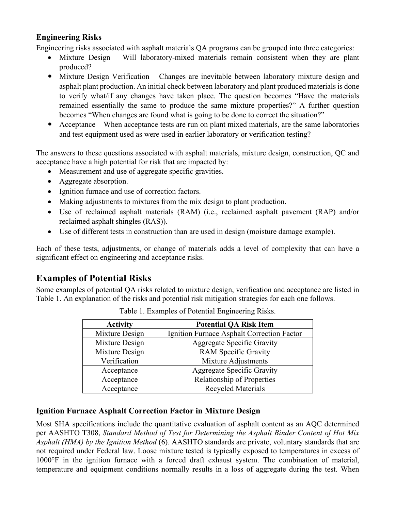#### **Engineering Risks**

Engineering risks associated with asphalt materials QA programs can be grouped into three categories:

- Mixture Design Will laboratory-mixed materials remain consistent when they are plant produced?
- Mixture Design Verification Changes are inevitable between laboratory mixture design and asphalt plant production. An initial check between laboratory and plant produced materials is done to verify what/if any changes have taken place. The question becomes "Have the materials remained essentially the same to produce the same mixture properties?" A further question becomes "When changes are found what is going to be done to correct the situation?"
- Acceptance When acceptance tests are run on plant mixed materials, are the same laboratories and test equipment used as were used in earlier laboratory or verification testing?

The answers to these questions associated with asphalt materials, mixture design, construction, QC and acceptance have a high potential for risk that are impacted by:

- Measurement and use of aggregate specific gravities.
- Aggregate absorption.
- Ignition furnace and use of correction factors.
- Making adjustments to mixtures from the mix design to plant production.
- Use of reclaimed asphalt materials (RAM) (i.e., reclaimed asphalt pavement (RAP) and/or reclaimed asphalt shingles (RAS)).
- Use of different tests in construction than are used in design (moisture damage example).

Each of these tests, adjustments, or change of materials adds a level of complexity that can have a significant effect on engineering and acceptance risks.

## **Examples of Potential Risks**

Some examples of potential QA risks related to mixture design, verification and acceptance are listed in Table 1. An explanation of the risks and potential risk mitigation strategies for each one follows.

| <b>Activity</b> | <b>Potential QA Risk Item</b>              |  |  |
|-----------------|--------------------------------------------|--|--|
| Mixture Design  | Ignition Furnace Asphalt Correction Factor |  |  |
| Mixture Design  | <b>Aggregate Specific Gravity</b>          |  |  |
| Mixture Design  | <b>RAM Specific Gravity</b>                |  |  |
| Verification    | Mixture Adjustments                        |  |  |
| Acceptance      | <b>Aggregate Specific Gravity</b>          |  |  |
| Acceptance      | <b>Relationship of Properties</b>          |  |  |
| Acceptance      | <b>Recycled Materials</b>                  |  |  |

Table 1. Examples of Potential Engineering Risks.

#### **Ignition Furnace Asphalt Correction Factor in Mixture Design**

Most SHA specifications include the quantitative evaluation of asphalt content as an AQC determined per AASHTO T308, *Standard Method of Test for Determining the Asphalt Binder Content of Hot Mix Asphalt (HMA) by the Ignition Method* [\(6\)](#page-14-5). AASHTO standards are private, voluntary standards that are not required under Federal law. Loose mixture tested is typically exposed to temperatures in excess of 1000°F in the ignition furnace with a forced draft exhaust system. The combination of material, temperature and equipment conditions normally results in a loss of aggregate during the test. When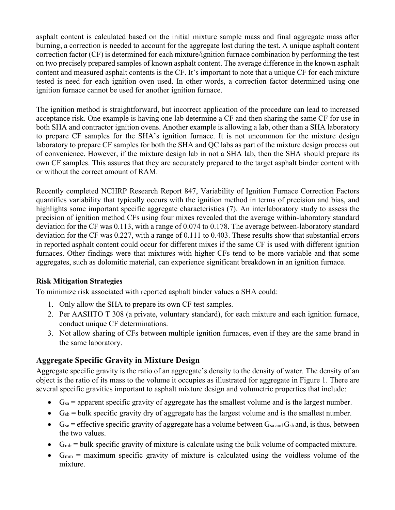asphalt content is calculated based on the initial mixture sample mass and final aggregate mass after burning, a correction is needed to account for the aggregate lost during the test. A unique asphalt content correction factor (CF) is determined for each mixture/ignition furnace combination by performing the test on two precisely prepared samples of known asphalt content. The average difference in the known asphalt content and measured asphalt contents is the CF. It's important to note that a unique CF for each mixture tested is need for each ignition oven used. In other words, a correction factor determined using one ignition furnace cannot be used for another ignition furnace.

The ignition method is straightforward, but incorrect application of the procedure can lead to increased acceptance risk. One example is having one lab determine a CF and then sharing the same CF for use in both SHA and contractor ignition ovens. Another example is allowing a lab, other than a SHA laboratory to prepare CF samples for the SHA's ignition furnace. It is not uncommon for the mixture design laboratory to prepare CF samples for both the SHA and QC labs as part of the mixture design process out of convenience. However, if the mixture design lab in not a SHA lab, then the SHA should prepare its own CF samples. This assures that they are accurately prepared to the target asphalt binder content with or without the correct amount of RAM.

Recently completed NCHRP Research Report 847, Variability of Ignition Furnace Correction Factors quantifies variability that typically occurs with the ignition method in terms of precision and bias, and highlights some important specific aggregate characteristics [\(7\)](#page-14-6). An interlaboratory study to assess the precision of ignition method CFs using four mixes revealed that the average within-laboratory standard deviation for the CF was 0.113, with a range of 0.074 to 0.178. The average between-laboratory standard deviation for the CF was 0.227, with a range of 0.111 to 0.403. These results show that substantial errors in reported asphalt content could occur for different mixes if the same CF is used with different ignition furnaces. Other findings were that mixtures with higher CFs tend to be more variable and that some aggregates, such as dolomitic material, can experience significant breakdown in an ignition furnace.

#### **Risk Mitigation Strategies**

To minimize risk associated with reported asphalt binder values a SHA could:

- 1. Only allow the SHA to prepare its own CF test samples.
- 2. Per AASHTO T 308 (a private, voluntary standard), for each mixture and each ignition furnace, conduct unique CF determinations.
- 3. Not allow sharing of CFs between multiple ignition furnaces, even if they are the same brand in the same laboratory.

#### **Aggregate Specific Gravity in Mixture Design**

Aggregate specific gravity is the ratio of an aggregate's density to the density of water. The density of an object is the ratio of its mass to the volume it occupies as illustrated for aggregate in Figure 1. There are several specific gravities important to asphalt mixture design and volumetric properties that include:

- $\bullet$   $G_{sa}$  = apparent specific gravity of aggregate has the smallest volume and is the largest number.
- $\bullet$  G<sub>sb</sub> = bulk specific gravity dry of aggregate has the largest volume and is the smallest number.
- $G_{se}$  = effective specific gravity of aggregate has a volume between  $G_{sa}$  and  $G_{sb}$  and, is thus, between the two values.
- $G_{mb} = \text{bulk}$  specific gravity of mixture is calculate using the bulk volume of compacted mixture.
- $G_{mm}$  = maximum specific gravity of mixture is calculated using the voidless volume of the mixture.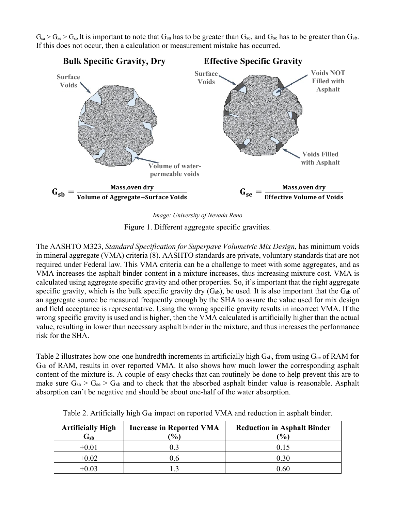$G_{sa} > G_{se} > G_{sb}$  It is important to note that  $G_{sa}$  has to be greater than  $G_{se}$ , and  $G_{se}$  has to be greater than  $G_{sb}$ . If this does not occur, then a calculation or measurement mistake has occurred.



*Image: University of Nevada Reno*

Figure 1. Different aggregate specific gravities.

The AASHTO M323, *Standard Specification for Superpave Volumetric Mix Design*, has minimum voids in mineral aggregate (VMA) criteria [\(8\)](#page-14-7). AASHTO standards are private, voluntary standards that are not required under Federal law. This VMA criteria can be a challenge to meet with some aggregates, and as VMA increases the asphalt binder content in a mixture increases, thus increasing mixture cost. VMA is calculated using aggregate specific gravity and other properties. So, it's important that the right aggregate specific gravity, which is the bulk specific gravity dry  $(G_{sb})$ , be used. It is also important that the  $G_{sb}$  of an aggregate source be measured frequently enough by the SHA to assure the value used for mix design and field acceptance is representative. Using the wrong specific gravity results in incorrect VMA. If the wrong specific gravity is used and is higher, then the VMA calculated is artificially higher than the actual value, resulting in lower than necessary asphalt binder in the mixture, and thus increases the performance risk for the SHA.

Table 2 illustrates how one-one hundredth increments in artificially high  $G<sub>sb</sub>$ , from using  $G<sub>se</sub>$  of RAM for Gsb of RAM, results in over reported VMA. It also shows how much lower the corresponding asphalt content of the mixture is. A couple of easy checks that can routinely be done to help prevent this are to make sure  $G_{sa} > G_{se} > G_{sb}$  and to check that the absorbed asphalt binder value is reasonable. Asphalt absorption can't be negative and should be about one-half of the water absorption.

| <b>Artificially High</b><br>$\mathbf{G}_{\mathrm{\mathbf{sh}}}$ | <b>Increase in Reported VMA</b><br>$\frac{10}{6}$ | <b>Reduction in Asphalt Binder</b><br>$\mathcal{O}_0$ |
|-----------------------------------------------------------------|---------------------------------------------------|-------------------------------------------------------|
| $+0.01$                                                         |                                                   | 0.15                                                  |
| $+0.02$                                                         | 0.6                                               | 0.30                                                  |
| +0.03                                                           |                                                   | $0.60\,$                                              |

Table 2. Artificially high G<sub>sb</sub> impact on reported VMA and reduction in asphalt binder.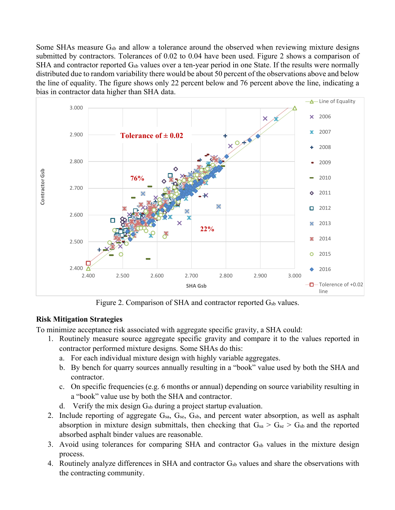Some SHAs measure  $G_{sb}$  and allow a tolerance around the observed when reviewing mixture designs submitted by contractors. Tolerances of 0.02 to 0.04 have been used. Figure 2 shows a comparison of SHA and contractor reported Gsb values over a ten-year period in one State. If the results were normally distributed due to random variability there would be about 50 percent of the observations above and below the line of equality. The figure shows only 22 percent below and 76 percent above the line, indicating a bias in contractor data higher than SHA data.



Figure 2. Comparison of SHA and contractor reported  $G_{sb}$  values.

#### **Risk Mitigation Strategies**

To minimize acceptance risk associated with aggregate specific gravity, a SHA could:

- 1. Routinely measure source aggregate specific gravity and compare it to the values reported in contractor performed mixture designs. Some SHAs do this:
	- a. For each individual mixture design with highly variable aggregates.
	- b. By bench for quarry sources annually resulting in a "book" value used by both the SHA and contractor.
	- c. On specific frequencies (e.g. 6 months or annual) depending on source variability resulting in a "book" value use by both the SHA and contractor.
	- d. Verify the mix design  $G_{sb}$  during a project startup evaluation.
- 2. Include reporting of aggregate G<sub>sa</sub>, G<sub>se</sub>, G<sub>sb</sub>, and percent water absorption, as well as asphalt absorption in mixture design submittals, then checking that  $G_{sa} > G_{se} > G_{sb}$  and the reported absorbed asphalt binder values are reasonable.
- 3. Avoid using tolerances for comparing SHA and contractor  $G_{sb}$  values in the mixture design process.
- 4. Routinely analyze differences in SHA and contractor  $G_{sb}$  values and share the observations with the contracting community.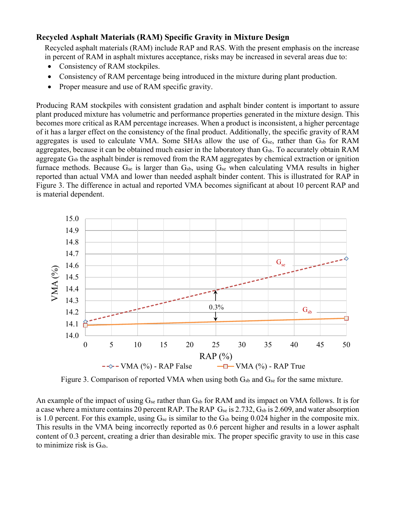#### **Recycled Asphalt Materials (RAM) Specific Gravity in Mixture Design**

Recycled asphalt materials (RAM) include RAP and RAS. With the present emphasis on the increase in percent of RAM in asphalt mixtures acceptance, risks may be increased in several areas due to:

- Consistency of RAM stockpiles.
- Consistency of RAM percentage being introduced in the mixture during plant production.
- Proper measure and use of RAM specific gravity.

Producing RAM stockpiles with consistent gradation and asphalt binder content is important to assure plant produced mixture has volumetric and performance properties generated in the mixture design. This becomes more critical as RAM percentage increases. When a product is inconsistent, a higher percentage of it has a larger effect on the consistency of the final product. Additionally, the specific gravity of RAM aggregates is used to calculate VMA. Some SHAs allow the use of  $G_{se}$ , rather than  $G_{sb}$  for RAM aggregates, because it can be obtained much easier in the laboratory than Gsb. To accurately obtain RAM aggregate G<sub>sb</sub> the asphalt binder is removed from the RAM aggregates by chemical extraction or ignition furnace methods. Because  $G_{se}$  is larger than  $G_{sb}$ , using  $G_{se}$  when calculating VMA results in higher reported than actual VMA and lower than needed asphalt binder content. This is illustrated for RAP in Figure 3. The difference in actual and reported VMA becomes significant at about 10 percent RAP and is material dependent.



Figure 3. Comparison of reported VMA when using both  $G_{sb}$  and  $G_{se}$  for the same mixture.

An example of the impact of using  $G_{se}$  rather than  $G_{sb}$  for RAM and its impact on VMA follows. It is for a case where a mixture contains 20 percent RAP. The RAP  $G_{se}$  is 2.732,  $G_{sb}$  is 2.609, and water absorption is 1.0 percent. For this example, using  $G_{se}$  is similar to the  $G_{sb}$  being 0.024 higher in the composite mix. This results in the VMA being incorrectly reported as 0.6 percent higher and results in a lower asphalt content of 0.3 percent, creating a drier than desirable mix. The proper specific gravity to use in this case to minimize risk is Gsb.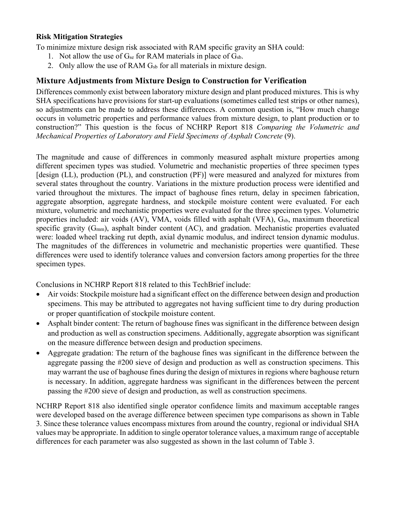To minimize mixture design risk associated with RAM specific gravity an SHA could:

- 1. Not allow the use of  $G_{se}$  for RAM materials in place of  $G_{sb}$ .
- 2. Only allow the use of RAM  $G_{sb}$  for all materials in mixture design.

#### **Mixture Adjustments from Mixture Design to Construction for Verification**

Differences commonly exist between laboratory mixture design and plant produced mixtures. This is why SHA specifications have provisions for start-up evaluations (sometimes called test strips or other names), so adjustments can be made to address these differences. A common question is, "How much change occurs in volumetric properties and performance values from mixture design, to plant production or to construction?" This question is the focus of NCHRP Report 818 *Comparing the Volumetric and Mechanical Properties of Laboratory and Field Specimens of Asphalt Concrete* [\(9\)](#page-14-8).

The magnitude and cause of differences in commonly measured asphalt mixture properties among different specimen types was studied. Volumetric and mechanistic properties of three specimen types [design (LL), production (PL), and construction (PF)] were measured and analyzed for mixtures from several states throughout the country. Variations in the mixture production process were identified and varied throughout the mixtures. The impact of baghouse fines return, delay in specimen fabrication, aggregate absorption, aggregate hardness, and stockpile moisture content were evaluated. For each mixture, volumetric and mechanistic properties were evaluated for the three specimen types. Volumetric properties included: air voids (AV), VMA, voids filled with asphalt (VFA), G<sub>sb</sub>, maximum theoretical specific gravity  $(G_{mm})$ , asphalt binder content  $(AC)$ , and gradation. Mechanistic properties evaluated were: loaded wheel tracking rut depth, axial dynamic modulus, and indirect tension dynamic modulus. The magnitudes of the differences in volumetric and mechanistic properties were quantified. These differences were used to identify tolerance values and conversion factors among properties for the three specimen types.

Conclusions in NCHRP Report 818 related to this TechBrief include:

- Air voids: Stockpile moisture had a significant effect on the difference between design and production specimens. This may be attributed to aggregates not having sufficient time to dry during production or proper quantification of stockpile moisture content.
- Asphalt binder content: The return of baghouse fines was significant in the difference between design and production as well as construction specimens. Additionally, aggregate absorption was significant on the measure difference between design and production specimens.
- Aggregate gradation: The return of the baghouse fines was significant in the difference between the aggregate passing the #200 sieve of design and production as well as construction specimens. This may warrant the use of baghouse fines during the design of mixtures in regions where baghouse return is necessary. In addition, aggregate hardness was significant in the differences between the percent passing the #200 sieve of design and production, as well as construction specimens.

NCHRP Report 818 also identified single operator confidence limits and maximum acceptable ranges were developed based on the average difference between specimen type comparisons as shown in Table 3. Since these tolerance values encompass mixtures from around the country, regional or individual SHA values may be appropriate. In addition to single operator tolerance values, a maximum range of acceptable differences for each parameter was also suggested as shown in the last column of Table 3.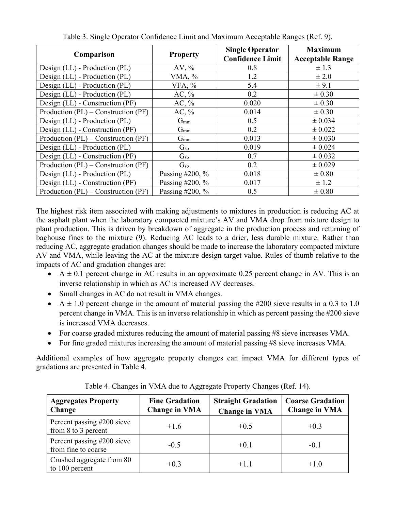| Comparison                              | <b>Property</b> | <b>Single Operator</b><br><b>Confidence Limit</b> | <b>Maximum</b><br><b>Acceptable Range</b> |  |
|-----------------------------------------|-----------------|---------------------------------------------------|-------------------------------------------|--|
| Design (LL) - Production (PL)           | AV, $\%$        | 0.8                                               | $\pm$ 1.3                                 |  |
| Design (LL) - Production (PL)           | VMA, %          | 1.2                                               | $\pm 2.0$                                 |  |
| Design (LL) - Production (PL)           | VFA, %          | 5.4                                               | ± 9.1                                     |  |
| Design (LL) - Production (PL)           | AC, $\%$        | 0.2                                               | $\pm 0.30$                                |  |
| Design (LL) - Construction (PF)         | AC, $\%$        | 0.020                                             | $\pm 0.30$                                |  |
| Production $(PL)$ – Construction $(PF)$ | AC, $\%$        | 0.014                                             | $\pm 0.30$                                |  |
| Design (LL) - Production (PL)           | $G_{mm}$        | 0.5                                               | ± 0.034                                   |  |
| Design (LL) - Construction (PF)         | $G_{mm}$        | 0.2                                               | $\pm 0.022$                               |  |
| Production $(PL)$ – Construction $(PF)$ | $G_{mm}$        | 0.013                                             | $\pm 0.030$                               |  |
| Design (LL) - Production (PL)           | $\rm G_{sb}$    | 0.019                                             | $\pm 0.024$                               |  |
| Design (LL) - Construction (PF)         | $G_{sb}$        | 0.7                                               | $\pm 0.032$                               |  |
| Production $(PL)$ – Construction $(PF)$ | $G_{sb}$        | 0.2                                               | ± 0.029                                   |  |
| Design (LL) - Production (PL)           | Passing #200, % | 0.018                                             | $\pm 0.80$                                |  |
| Design (LL) - Construction (PF)         | Passing #200, % | 0.017                                             | $\pm$ 1.2                                 |  |
| Production $(PL)$ – Construction $(PF)$ | Passing #200, % | 0.5                                               | $\pm 0.80$                                |  |

Table 3. Single Operator Confidence Limit and Maximum Acceptable Ranges (Ref. [9\)](#page-14-8).

The highest risk item associated with making adjustments to mixtures in production is reducing AC at the asphalt plant when the laboratory compacted mixture's AV and VMA drop from mixture design to plant production. This is driven by breakdown of aggregate in the production process and returning of baghouse fines to the mixture [\(9\)](#page-14-8). Reducing AC leads to a drier, less durable mixture. Rather than reducing AC, aggregate gradation changes should be made to increase the laboratory compacted mixture AV and VMA, while leaving the AC at the mixture design target value. Rules of thumb relative to the impacts of AC and gradation changes are:

- $A \pm 0.1$  percent change in AC results in an approximate 0.25 percent change in AV. This is an inverse relationship in which as AC is increased AV decreases.
- Small changes in AC do not result in VMA changes.
- $A \pm 1.0$  percent change in the amount of material passing the #200 sieve results in a 0.3 to 1.0 percent change in VMA. This is an inverse relationship in which as percent passing the #200 sieve is increased VMA decreases.
- For coarse graded mixtures reducing the amount of material passing #8 sieve increases VMA.
- For fine graded mixtures increasing the amount of material passing #8 sieve increases VMA.

Additional examples of how aggregate property changes can impact VMA for different types of gradations are presented in Table 4.

| <b>Aggregates Property</b><br><b>Change</b>           | <b>Fine Gradation</b><br><b>Change in VMA</b> | <b>Straight Gradation</b><br><b>Change in VMA</b> | <b>Coarse Gradation</b><br><b>Change in VMA</b> |  |
|-------------------------------------------------------|-----------------------------------------------|---------------------------------------------------|-------------------------------------------------|--|
| Percent passing #200 sieve<br>from $8$ to $3$ percent | $+1.6$                                        | $+0.5$                                            | $+0.3$                                          |  |
| Percent passing #200 sieve<br>from fine to coarse     | $-0.5$                                        | $+0.1$                                            | $-0.1$                                          |  |
| Crushed aggregate from 80<br>to 100 percent           | $+0.3$                                        | $+1.1$                                            | $+1.0$                                          |  |

Table 4. Changes in VMA due to Aggregate Property Changes (Ref. [14\)](#page-14-9).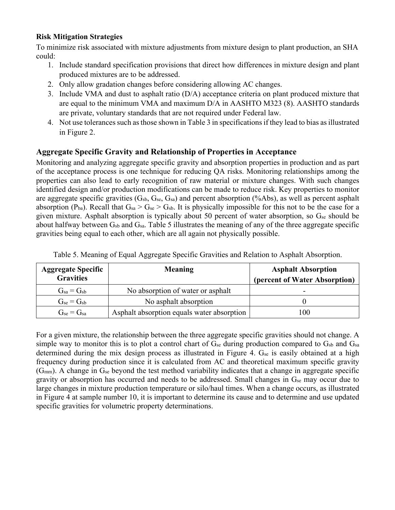To minimize risk associated with mixture adjustments from mixture design to plant production, an SHA could:

- 1. Include standard specification provisions that direct how differences in mixture design and plant produced mixtures are to be addressed.
- 2. Only allow gradation changes before considering allowing AC changes.
- 3. Include VMA and dust to asphalt ratio (D/A) acceptance criteria on plant produced mixture that are equal to the minimum VMA and maximum D/A in AASHTO M323 [\(8\)](#page-14-7). AASHTO standards are private, voluntary standards that are not required under Federal law.
- 4. Not use tolerances such as those shown in Table 3 in specifications if they lead to bias as illustrated in Figure 2.

#### **Aggregate Specific Gravity and Relationship of Properties in Acceptance**

Monitoring and analyzing aggregate specific gravity and absorption properties in production and as part of the acceptance process is one technique for reducing QA risks. Monitoring relationships among the properties can also lead to early recognition of raw material or mixture changes. With such changes identified design and/or production modifications can be made to reduce risk. Key properties to monitor are aggregate specific gravities  $(G_{sb}, G_{se}, G_{sa})$  and percent absorption (%Abs), as well as percent asphalt absorption (Pba). Recall that  $G_{sa} > G_{se} > G_{sb}$ . It is physically impossible for this not to be the case for a given mixture. Asphalt absorption is typically about 50 percent of water absorption, so Gse should be about halfway between Gsb and Gsa. Table 5 illustrates the meaning of any of the three aggregate specific gravities being equal to each other, which are all again not physically possible.

| <b>Aggregate Specific</b><br><b>Gravities</b> | <b>Meaning</b>                             | <b>Asphalt Absorption</b><br>(percent of Water Absorption) |
|-----------------------------------------------|--------------------------------------------|------------------------------------------------------------|
| $G_{sa} = G_{sb}$                             | No absorption of water or asphalt          |                                                            |
| $G_{se} = G_{sb}$                             | No asphalt absorption                      |                                                            |
| $G_{se} = G_{sa}$                             | Asphalt absorption equals water absorption | 100                                                        |

Table 5. Meaning of Equal Aggregate Specific Gravities and Relation to Asphalt Absorption.

For a given mixture, the relationship between the three aggregate specific gravities should not change. A simple way to monitor this is to plot a control chart of  $G_{se}$  during production compared to  $G_{sb}$  and  $G_{sa}$ determined during the mix design process as illustrated in Figure 4. G<sub>se</sub> is easily obtained at a high frequency during production since it is calculated from AC and theoretical maximum specific gravity  $(G<sub>mm</sub>)$ . A change in  $G<sub>se</sub>$  beyond the test method variability indicates that a change in aggregate specific gravity or absorption has occurred and needs to be addressed. Small changes in Gse may occur due to large changes in mixture production temperature or silo/haul times. When a change occurs, as illustrated in Figure 4 at sample number 10, it is important to determine its cause and to determine and use updated specific gravities for volumetric property determinations.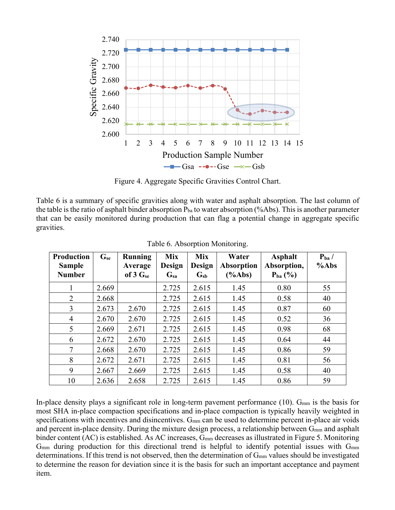

Figure 4. Aggregate Specific Gravities Control Chart.

Table 6 is a summary of specific gravities along with water and asphalt absorption. The last column of the table is the ratio of asphalt binder absorption  $P_{ba}$  to water absorption (%Abs). This is another parameter that can be easily monitored during production that can flag a potential change in aggregate specific gravities.

| <b>Production</b><br><b>Sample</b> | $G_{se}$ | Running<br>Average | <b>Mix</b><br><b>Design</b> | <b>Mix</b><br><b>Design</b> | Water<br>Absorption | <b>Asphalt</b><br>Absorption, | $P_{ba}$ /<br>$%$ Abs |
|------------------------------------|----------|--------------------|-----------------------------|-----------------------------|---------------------|-------------------------------|-----------------------|
| <b>Number</b>                      |          | of $3 G_{se}$      | $\mathbf{G}_{\text{sa}}$    | $\mathbf{G}_{sb}$           | $(\%Abs)$           | $P_{ba}$ (%)                  |                       |
|                                    | 2.669    |                    | 2.725                       | 2.615                       | 1.45                | 0.80                          | 55                    |
| $\overline{2}$                     | 2.668    |                    | 2.725                       | 2.615                       | 1.45                | 0.58                          | 40                    |
| 3                                  | 2.673    | 2.670              | 2.725                       | 2.615                       | 1.45                | 0.87                          | 60                    |
| $\overline{4}$                     | 2.670    | 2.670              | 2.725                       | 2.615                       | 1.45                | 0.52                          | 36                    |
| 5                                  | 2.669    | 2.671              | 2.725                       | 2.615                       | 1.45                | 0.98                          | 68                    |
| 6                                  | 2.672    | 2.670              | 2.725                       | 2.615                       | 1.45                | 0.64                          | 44                    |
| 7                                  | 2.668    | 2.670              | 2.725                       | 2.615                       | 1.45                | 0.86                          | 59                    |
| 8                                  | 2.672    | 2.671              | 2.725                       | 2.615                       | 1.45                | 0.81                          | 56                    |
| 9                                  | 2.667    | 2.669              | 2.725                       | 2.615                       | 1.45                | 0.58                          | 40                    |
| 10                                 | 2.636    | 2.658              | 2.725                       | 2.615                       | 1.45                | 0.86                          | 59                    |

Table 6. Absorption Monitoring.

In-place density plays a significant role in long-term pavement performance  $(10)$ . G<sub>mm</sub> is the basis for most SHA in-place compaction specifications and in-place compaction is typically heavily weighted in specifications with incentives and disincentives.  $G_{mm}$  can be used to determine percent in-place air voids and percent in-place density. During the mixture design process, a relationship between G<sub>mm</sub> and asphalt binder content (AC) is established. As AC increases, Gmm decreases as illustrated in Figure 5. Monitoring  $G<sub>mm</sub>$  during production for this directional trend is helpful to identify potential issues with  $G<sub>mm</sub>$ determinations. If this trend is not observed, then the determination of  $G<sub>mm</sub>$  values should be investigated to determine the reason for deviation since it is the basis for such an important acceptance and payment item.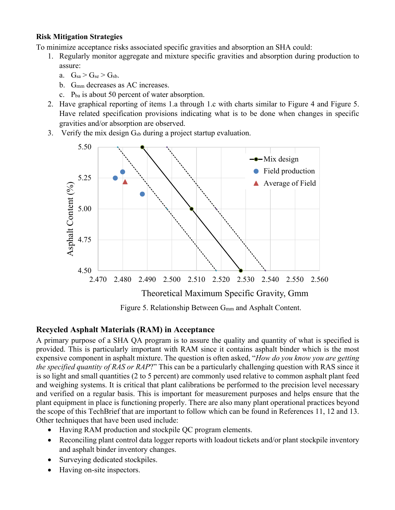To minimize acceptance risks associated specific gravities and absorption an SHA could:

- 1. Regularly monitor aggregate and mixture specific gravities and absorption during production to assure:
	- a.  $G_{sa} > G_{se} > G_{sb}$ .
	- b. Gmm decreases as AC increases.
	- c. Pba is about 50 percent of water absorption.
- 2. Have graphical reporting of items 1.a through 1.c with charts similar to Figure 4 and Figure 5. Have related specification provisions indicating what is to be done when changes in specific gravities and/or absorption are observed.
- 3. Verify the mix design  $G_{sb}$  during a project startup evaluation.



Figure 5. Relationship Between G<sub>mm</sub> and Asphalt Content.

#### **Recycled Asphalt Materials (RAM) in Acceptance**

A primary purpose of a SHA QA program is to assure the quality and quantity of what is specified is provided. This is particularly important with RAM since it contains asphalt binder which is the most expensive component in asphalt mixture. The question is often asked, "*How do you know you are getting the specified quantity of RAS or RAP*?" This can be a particularly challenging question with RAS since it is so light and small quantities (2 to 5 percent) are commonly used relative to common asphalt plant feed and weighing systems. It is critical that plant calibrations be performed to the precision level necessary and verified on a regular basis. This is important for measurement purposes and helps ensure that the plant equipment in place is functioning properly. There are also many plant operational practices beyond the scope of this TechBrief that are important to follow which can be found in References [11,](#page-14-11) [12](#page-14-12) and [13.](#page-14-13) Other techniques that have been used include:

- Having RAM production and stockpile QC program elements.
- Reconciling plant control data logger reports with loadout tickets and/or plant stockpile inventory and asphalt binder inventory changes.
- Surveying dedicated stockpiles.
- Having on-site inspectors.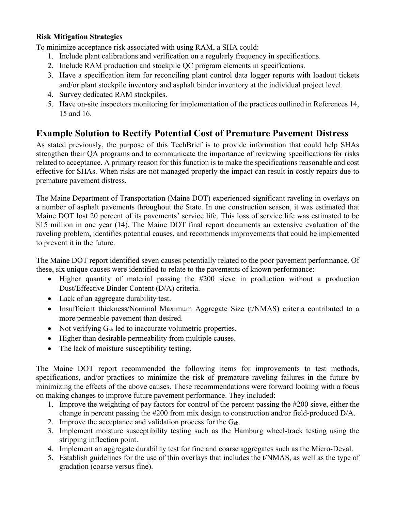To minimize acceptance risk associated with using RAM, a SHA could:

- 1. Include plant calibrations and verification on a regularly frequency in specifications.
- 2. Include RAM production and stockpile QC program elements in specifications.
- 3. Have a specification item for reconciling plant control data logger reports with loadout tickets and/or plant stockpile inventory and asphalt binder inventory at the individual project level.
- 4. Survey dedicated RAM stockpiles.
- 5. Have on-site inspectors monitoring for implementation of the practices outlined in References [14,](#page-14-9) [15](#page-14-14) and [16.](#page-14-15)

# **Example Solution to Rectify Potential Cost of Premature Pavement Distress**

As stated previously, the purpose of this TechBrief is to provide information that could help SHAs strengthen their QA programs and to communicate the importance of reviewing specifications for risks related to acceptance. A primary reason for this function is to make the specifications reasonable and cost effective for SHAs. When risks are not managed properly the impact can result in costly repairs due to premature pavement distress.

The Maine Department of Transportation (Maine DOT) experienced significant raveling in overlays on a number of asphalt pavements throughout the State. In one construction season, it was estimated that Maine DOT lost 20 percent of its pavements' service life. This loss of service life was estimated to be \$15 million in one year [\(14\)](#page-14-9). The Maine DOT final report documents an extensive evaluation of the raveling problem, identifies potential causes, and recommends improvements that could be implemented to prevent it in the future.

The Maine DOT report identified seven causes potentially related to the poor pavement performance. Of these, six unique causes were identified to relate to the pavements of known performance:

- Higher quantity of material passing the #200 sieve in production without a production Dust/Effective Binder Content (D/A) criteria.
- Lack of an aggregate durability test.
- Insufficient thickness/Nominal Maximum Aggregate Size (t/NMAS) criteria contributed to a more permeable pavement than desired.
- Not verifying  $G_{sb}$  led to inaccurate volumetric properties.
- Higher than desirable permeability from multiple causes.
- The lack of moisture susceptibility testing.

The Maine DOT report recommended the following items for improvements to test methods, specifications, and/or practices to minimize the risk of premature raveling failures in the future by minimizing the effects of the above causes. These recommendations were forward looking with a focus on making changes to improve future pavement performance. They included:

- 1. Improve the weighting of pay factors for control of the percent passing the #200 sieve, either the change in percent passing the #200 from mix design to construction and/or field-produced D/A.
- 2. Improve the acceptance and validation process for the  $G_{sb}$ .
- 3. Implement moisture susceptibility testing such as the Hamburg wheel-track testing using the stripping inflection point.
- 4. Implement an aggregate durability test for fine and coarse aggregates such as the Micro-Deval.
- 5. Establish guidelines for the use of thin overlays that includes the t/NMAS, as well as the type of gradation (coarse versus fine).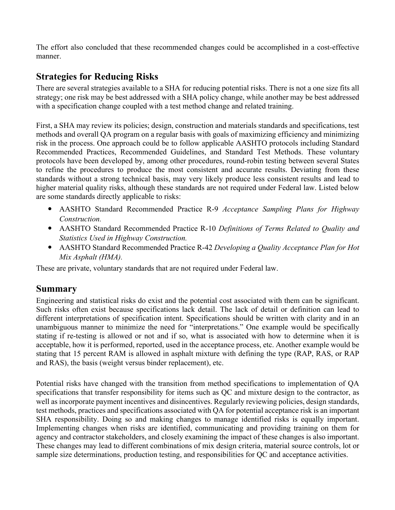The effort also concluded that these recommended changes could be accomplished in a cost-effective manner.

### **Strategies for Reducing Risks**

There are several strategies available to a SHA for reducing potential risks. There is not a one size fits all strategy; one risk may be best addressed with a SHA policy change, while another may be best addressed with a specification change coupled with a test method change and related training.

First, a SHA may review its policies; design, construction and materials standards and specifications, test methods and overall QA program on a regular basis with goals of maximizing efficiency and minimizing risk in the process. One approach could be to follow applicable AASHTO protocols including Standard Recommended Practices, Recommended Guidelines, and Standard Test Methods. These voluntary protocols have been developed by, among other procedures, round-robin testing between several States to refine the procedures to produce the most consistent and accurate results. Deviating from these standards without a strong technical basis, may very likely produce less consistent results and lead to higher material quality risks, although these standards are not required under Federal law. Listed below are some standards directly applicable to risks:

- AASHTO Standard Recommended Practice R-9 *Acceptance Sampling Plans for Highway Construction.*
- AASHTO Standard Recommended Practice R-10 *Definitions of Terms Related to Quality and Statistics Used in Highway Construction.*
- AASHTO Standard Recommended Practice R-42 *Developing a Quality Acceptance Plan for Hot Mix Asphalt (HMA).*

These are private, voluntary standards that are not required under Federal law.

#### **Summary**

Engineering and statistical risks do exist and the potential cost associated with them can be significant. Such risks often exist because specifications lack detail. The lack of detail or definition can lead to different interpretations of specification intent. Specifications should be written with clarity and in an unambiguous manner to minimize the need for "interpretations." One example would be specifically stating if re-testing is allowed or not and if so, what is associated with how to determine when it is acceptable, how it is performed, reported, used in the acceptance process, etc. Another example would be stating that 15 percent RAM is allowed in asphalt mixture with defining the type (RAP, RAS, or RAP and RAS), the basis (weight versus binder replacement), etc.

Potential risks have changed with the transition from method specifications to implementation of QA specifications that transfer responsibility for items such as QC and mixture design to the contractor, as well as incorporate payment incentives and disincentives. Regularly reviewing policies, design standards, test methods, practices and specifications associated with QA for potential acceptance risk is an important SHA responsibility. Doing so and making changes to manage identified risks is equally important. Implementing changes when risks are identified, communicating and providing training on them for agency and contractor stakeholders, and closely examining the impact of these changes is also important. These changes may lead to different combinations of mix design criteria, material source controls, lot or sample size determinations, production testing, and responsibilities for QC and acceptance activities.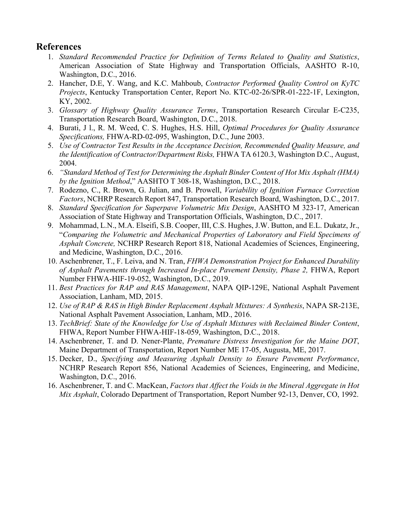#### <span id="page-14-0"></span>**References**

- 1. *Standard Recommended Practice for Definition of Terms Related to Quality and Statistics*, American Association of State Highway and Transportation Officials, AASHTO R-10, Washington, D.C., 2016.
- <span id="page-14-1"></span>2. Hancher, D.E, Y. Wang, and K.C. Mahboub, *Contractor Performed Quality Control on KyTC Projects*, Kentucky Transportation Center, Report No. KTC-02-26/SPR-01-222-1F, Lexington, KY, 2002.
- <span id="page-14-2"></span>3. *Glossary of Highway Quality Assurance Terms*, Transportation Research Circular E-C235, Transportation Research Board, Washington, D.C., 2018.
- <span id="page-14-3"></span>4. Burati, J l., R. M. Weed, C. S. Hughes, H.S. Hill, *Optimal Procedures for Quality Assurance Specifications,* FHWA-RD-02-095, Washington, D.C., June 2003.
- <span id="page-14-4"></span>5. *Use of Contractor Test Results in the Acceptance Decision, Recommended Quality Measure, and the Identification of Contractor/Department Risks,* FHWA TA 6120.3, Washington D.C., August, 2004.
- <span id="page-14-5"></span>6. *"Standard Method of Test for Determining the Asphalt Binder Content of Hot Mix Asphalt (HMA) by the Ignition Method*," AASHTO T 308-18, Washington, D.C., 2018.
- <span id="page-14-6"></span>7. Rodezno, C., R. Brown, G. Julian, and B. Prowell, *Variability of Ignition Furnace Correction Factors*, NCHRP Research Report 847, Transportation Research Board, Washington, D.C., 2017.
- <span id="page-14-7"></span>8. *Standard Specification for Superpave Volumetric Mix Design*, AASHTO M 323-17, American Association of State Highway and Transportation Officials, Washington, D.C., 2017.
- <span id="page-14-8"></span>9. Mohammad, L.N., M.A. Elseifi, S.B. Cooper, III, C.S. Hughes, J.W. Button, and E.L. Dukatz, Jr., "*Comparing the Volumetric and Mechanical Properties of Laboratory and Field Specimens of Asphalt Concrete,* NCHRP Research Report 818, National Academies of Sciences, Engineering, and Medicine, Washington, D.C., 2016.
- <span id="page-14-10"></span>10. Aschenbrener, T., F. Leiva, and N. Tran, *FHWA Demonstration Project for Enhanced Durability of Asphalt Pavements through Increased In-place Pavement Density, Phase 2,* FHWA, Report Number FHWA-HIF-19-052, Washington, D.C., 2019.
- <span id="page-14-11"></span>11. *Best Practices for RAP and RAS Management*, NAPA QIP-129E, National Asphalt Pavement Association, Lanham, MD, 2015.
- <span id="page-14-12"></span>12. *Use of RAP & RAS in High Binder Replacement Asphalt Mixtures: A Synthesis*, NAPA SR-213E, National Asphalt Pavement Association, Lanham, MD., 2016.
- <span id="page-14-13"></span>13. *TechBrief: State of the Knowledge for Use of Asphalt Mixtures with Reclaimed Binder Content*, FHWA, Report Number FHWA-HIF-18-059, Washington, D.C., 2018.
- <span id="page-14-9"></span>14. Aschenbrener, T. and D. Nener-Plante, *Premature Distress Investigation for the Maine DOT*, Maine Department of Transportation, Report Number ME 17-05, Augusta, ME, 2017.
- <span id="page-14-14"></span>15. Decker, D., *Specifying and Measuring Asphalt Density to Ensure Pavement Performance*, NCHRP Research Report 856, National Academies of Sciences, Engineering, and Medicine, Washington, D.C., 2016.
- <span id="page-14-15"></span>16. Aschenbrener, T. and C. MacKean, *Factors that Affect the Voids in the Mineral Aggregate in Hot Mix Asphalt*, Colorado Department of Transportation, Report Number 92-13, Denver, CO, 1992.